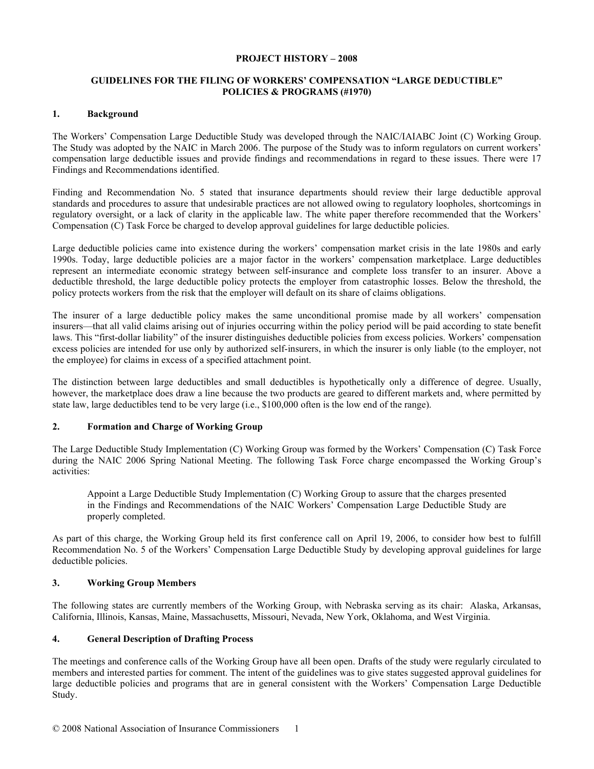#### **PROJECT HISTORY – 2008**

### **GUIDELINES FOR THE FILING OF WORKERS' COMPENSATION "LARGE DEDUCTIBLE" POLICIES & PROGRAMS (#1970)**

#### **1. Background**

The Workers' Compensation Large Deductible Study was developed through the NAIC/IAIABC Joint (C) Working Group. The Study was adopted by the NAIC in March 2006. The purpose of the Study was to inform regulators on current workers' compensation large deductible issues and provide findings and recommendations in regard to these issues. There were 17 Findings and Recommendations identified.

Finding and Recommendation No. 5 stated that insurance departments should review their large deductible approval standards and procedures to assure that undesirable practices are not allowed owing to regulatory loopholes, shortcomings in regulatory oversight, or a lack of clarity in the applicable law. The white paper therefore recommended that the Workers' Compensation (C) Task Force be charged to develop approval guidelines for large deductible policies.

Large deductible policies came into existence during the workers' compensation market crisis in the late 1980s and early 1990s. Today, large deductible policies are a major factor in the workers' compensation marketplace. Large deductibles represent an intermediate economic strategy between self-insurance and complete loss transfer to an insurer. Above a deductible threshold, the large deductible policy protects the employer from catastrophic losses. Below the threshold, the policy protects workers from the risk that the employer will default on its share of claims obligations.

The insurer of a large deductible policy makes the same unconditional promise made by all workers' compensation insurers—that all valid claims arising out of injuries occurring within the policy period will be paid according to state benefit laws. This "first-dollar liability" of the insurer distinguishes deductible policies from excess policies. Workers' compensation excess policies are intended for use only by authorized self-insurers, in which the insurer is only liable (to the employer, not the employee) for claims in excess of a specified attachment point.

The distinction between large deductibles and small deductibles is hypothetically only a difference of degree. Usually, however, the marketplace does draw a line because the two products are geared to different markets and, where permitted by state law, large deductibles tend to be very large (i.e., \$100,000 often is the low end of the range).

# **2. Formation and Charge of Working Group**

The Large Deductible Study Implementation (C) Working Group was formed by the Workers' Compensation (C) Task Force during the NAIC 2006 Spring National Meeting. The following Task Force charge encompassed the Working Group's activities:

Appoint a Large Deductible Study Implementation (C) Working Group to assure that the charges presented in the Findings and Recommendations of the NAIC Workers' Compensation Large Deductible Study are properly completed.

As part of this charge, the Working Group held its first conference call on April 19, 2006, to consider how best to fulfill Recommendation No. 5 of the Workers' Compensation Large Deductible Study by developing approval guidelines for large deductible policies.

### **3. Working Group Members**

The following states are currently members of the Working Group, with Nebraska serving as its chair: Alaska, Arkansas, California, Illinois, Kansas, Maine, Massachusetts, Missouri, Nevada, New York, Oklahoma, and West Virginia.

### **4. General Description of Drafting Process**

The meetings and conference calls of the Working Group have all been open. Drafts of the study were regularly circulated to members and interested parties for comment. The intent of the guidelines was to give states suggested approval guidelines for large deductible policies and programs that are in general consistent with the Workers' Compensation Large Deductible Study.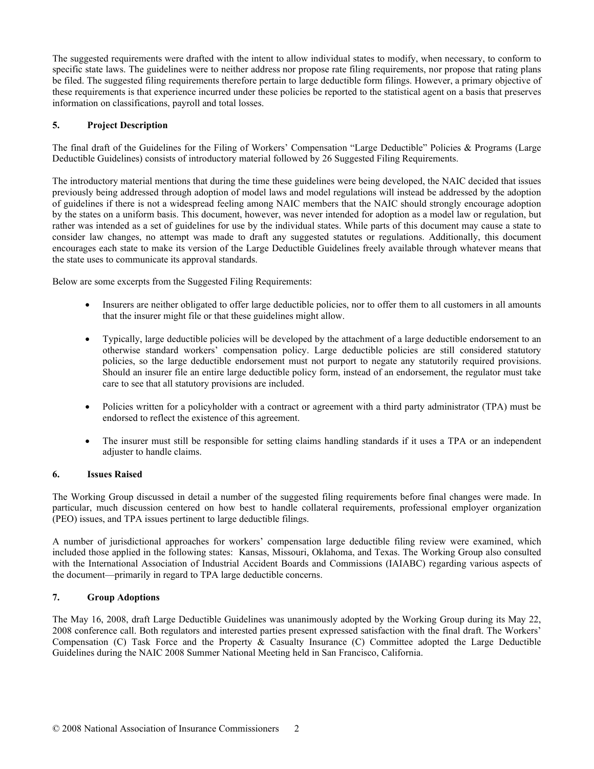The suggested requirements were drafted with the intent to allow individual states to modify, when necessary, to conform to specific state laws. The guidelines were to neither address nor propose rate filing requirements, nor propose that rating plans be filed. The suggested filing requirements therefore pertain to large deductible form filings. However, a primary objective of these requirements is that experience incurred under these policies be reported to the statistical agent on a basis that preserves information on classifications, payroll and total losses.

# **5. Project Description**

The final draft of the Guidelines for the Filing of Workers' Compensation "Large Deductible" Policies & Programs (Large Deductible Guidelines) consists of introductory material followed by 26 Suggested Filing Requirements.

The introductory material mentions that during the time these guidelines were being developed, the NAIC decided that issues previously being addressed through adoption of model laws and model regulations will instead be addressed by the adoption of guidelines if there is not a widespread feeling among NAIC members that the NAIC should strongly encourage adoption by the states on a uniform basis. This document, however, was never intended for adoption as a model law or regulation, but rather was intended as a set of guidelines for use by the individual states. While parts of this document may cause a state to consider law changes, no attempt was made to draft any suggested statutes or regulations. Additionally, this document encourages each state to make its version of the Large Deductible Guidelines freely available through whatever means that the state uses to communicate its approval standards.

Below are some excerpts from the Suggested Filing Requirements:

- Insurers are neither obligated to offer large deductible policies, nor to offer them to all customers in all amounts that the insurer might file or that these guidelines might allow.
- Typically, large deductible policies will be developed by the attachment of a large deductible endorsement to an otherwise standard workers' compensation policy. Large deductible policies are still considered statutory policies, so the large deductible endorsement must not purport to negate any statutorily required provisions. Should an insurer file an entire large deductible policy form, instead of an endorsement, the regulator must take care to see that all statutory provisions are included.
- Policies written for a policyholder with a contract or agreement with a third party administrator (TPA) must be endorsed to reflect the existence of this agreement.
- The insurer must still be responsible for setting claims handling standards if it uses a TPA or an independent adjuster to handle claims.

### **6. Issues Raised**

The Working Group discussed in detail a number of the suggested filing requirements before final changes were made. In particular, much discussion centered on how best to handle collateral requirements, professional employer organization (PEO) issues, and TPA issues pertinent to large deductible filings.

A number of jurisdictional approaches for workers' compensation large deductible filing review were examined, which included those applied in the following states: Kansas, Missouri, Oklahoma, and Texas. The Working Group also consulted with the International Association of Industrial Accident Boards and Commissions (IAIABC) regarding various aspects of the document—primarily in regard to TPA large deductible concerns.

### **7. Group Adoptions**

The May 16, 2008, draft Large Deductible Guidelines was unanimously adopted by the Working Group during its May 22, 2008 conference call. Both regulators and interested parties present expressed satisfaction with the final draft. The Workers' Compensation (C) Task Force and the Property & Casualty Insurance (C) Committee adopted the Large Deductible Guidelines during the NAIC 2008 Summer National Meeting held in San Francisco, California.